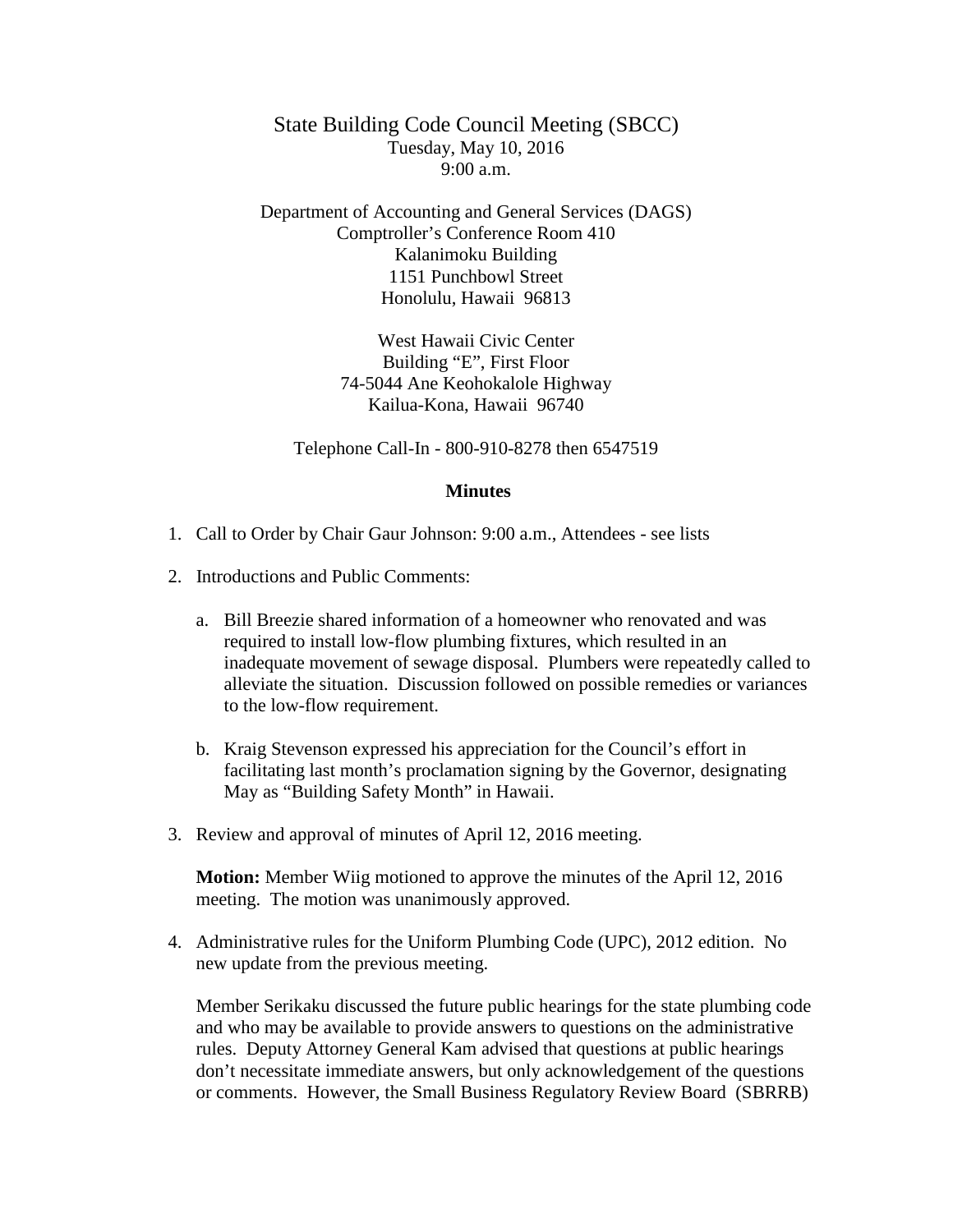## State Building Code Council Meeting (SBCC) Tuesday, May 10, 2016 9:00 a.m.

Department of Accounting and General Services (DAGS) Comptroller's Conference Room 410 Kalanimoku Building 1151 Punchbowl Street Honolulu, Hawaii 96813

> West Hawaii Civic Center Building "E", First Floor 74-5044 Ane Keohokalole Highway Kailua-Kona, Hawaii 96740

Telephone Call-In - 800-910-8278 then 6547519

## **Minutes**

- 1. Call to Order by Chair Gaur Johnson: 9:00 a.m., Attendees see lists
- 2. Introductions and Public Comments:
	- a. Bill Breezie shared information of a homeowner who renovated and was required to install low-flow plumbing fixtures, which resulted in an inadequate movement of sewage disposal. Plumbers were repeatedly called to alleviate the situation. Discussion followed on possible remedies or variances to the low-flow requirement.
	- b. Kraig Stevenson expressed his appreciation for the Council's effort in facilitating last month's proclamation signing by the Governor, designating May as "Building Safety Month" in Hawaii.
- 3. Review and approval of minutes of April 12, 2016 meeting.

**Motion:** Member Wiig motioned to approve the minutes of the April 12, 2016 meeting. The motion was unanimously approved.

4. Administrative rules for the Uniform Plumbing Code (UPC), 2012 edition. No new update from the previous meeting.

Member Serikaku discussed the future public hearings for the state plumbing code and who may be available to provide answers to questions on the administrative rules. Deputy Attorney General Kam advised that questions at public hearings don't necessitate immediate answers, but only acknowledgement of the questions or comments. However, the Small Business Regulatory Review Board (SBRRB)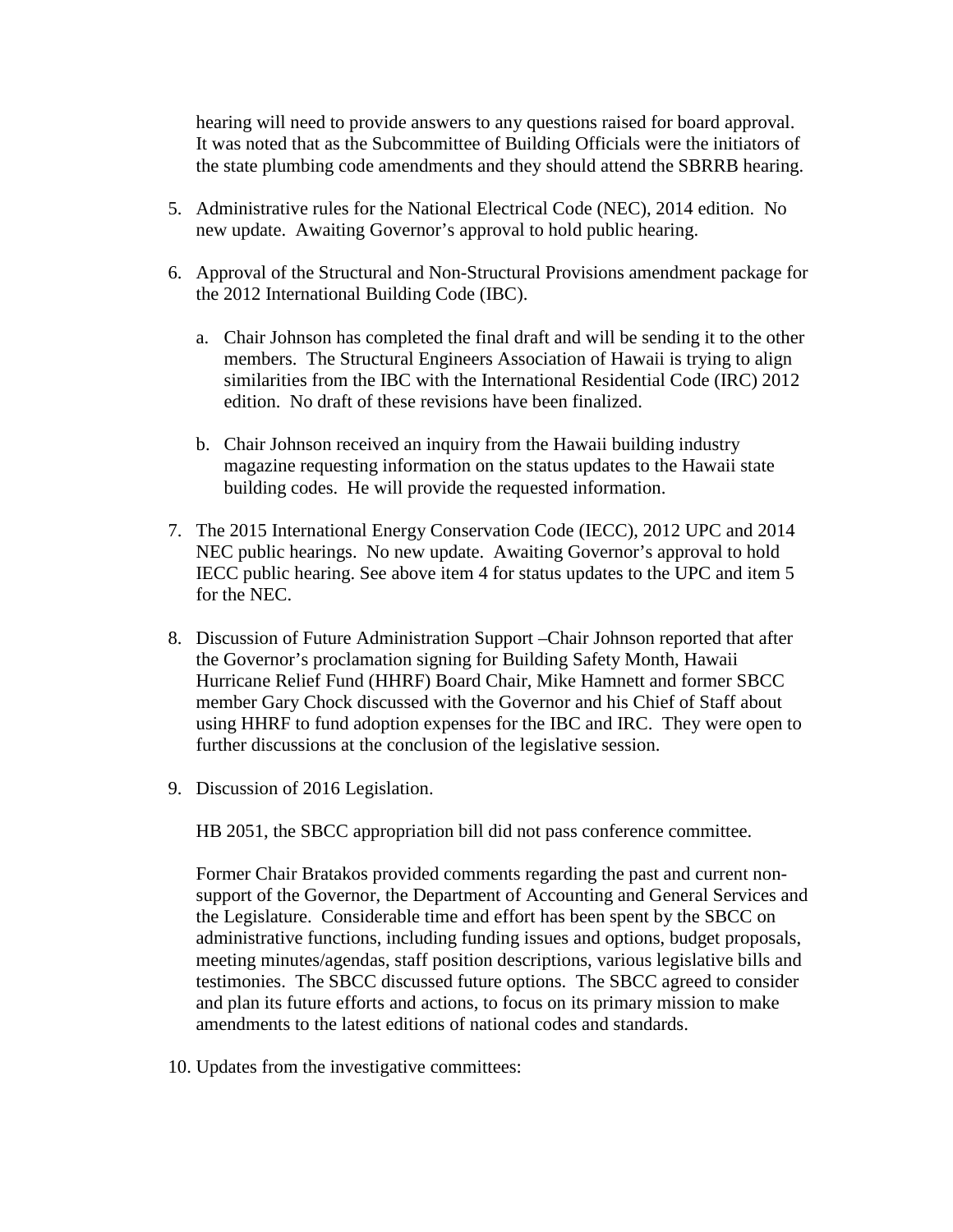hearing will need to provide answers to any questions raised for board approval. It was noted that as the Subcommittee of Building Officials were the initiators of the state plumbing code amendments and they should attend the SBRRB hearing.

- 5. Administrative rules for the National Electrical Code (NEC), 2014 edition. No new update. Awaiting Governor's approval to hold public hearing.
- 6. Approval of the Structural and Non-Structural Provisions amendment package for the 2012 International Building Code (IBC).
	- a. Chair Johnson has completed the final draft and will be sending it to the other members. The Structural Engineers Association of Hawaii is trying to align similarities from the IBC with the International Residential Code (IRC) 2012 edition. No draft of these revisions have been finalized.
	- b. Chair Johnson received an inquiry from the Hawaii building industry magazine requesting information on the status updates to the Hawaii state building codes. He will provide the requested information.
- 7. The 2015 International Energy Conservation Code (IECC), 2012 UPC and 2014 NEC public hearings. No new update. Awaiting Governor's approval to hold IECC public hearing. See above item 4 for status updates to the UPC and item 5 for the NEC.
- 8. Discussion of Future Administration Support –Chair Johnson reported that after the Governor's proclamation signing for Building Safety Month, Hawaii Hurricane Relief Fund (HHRF) Board Chair, Mike Hamnett and former SBCC member Gary Chock discussed with the Governor and his Chief of Staff about using HHRF to fund adoption expenses for the IBC and IRC. They were open to further discussions at the conclusion of the legislative session.
- 9. Discussion of 2016 Legislation.

HB 2051, the SBCC appropriation bill did not pass conference committee.

Former Chair Bratakos provided comments regarding the past and current nonsupport of the Governor, the Department of Accounting and General Services and the Legislature. Considerable time and effort has been spent by the SBCC on administrative functions, including funding issues and options, budget proposals, meeting minutes/agendas, staff position descriptions, various legislative bills and testimonies. The SBCC discussed future options. The SBCC agreed to consider and plan its future efforts and actions, to focus on its primary mission to make amendments to the latest editions of national codes and standards.

10. Updates from the investigative committees: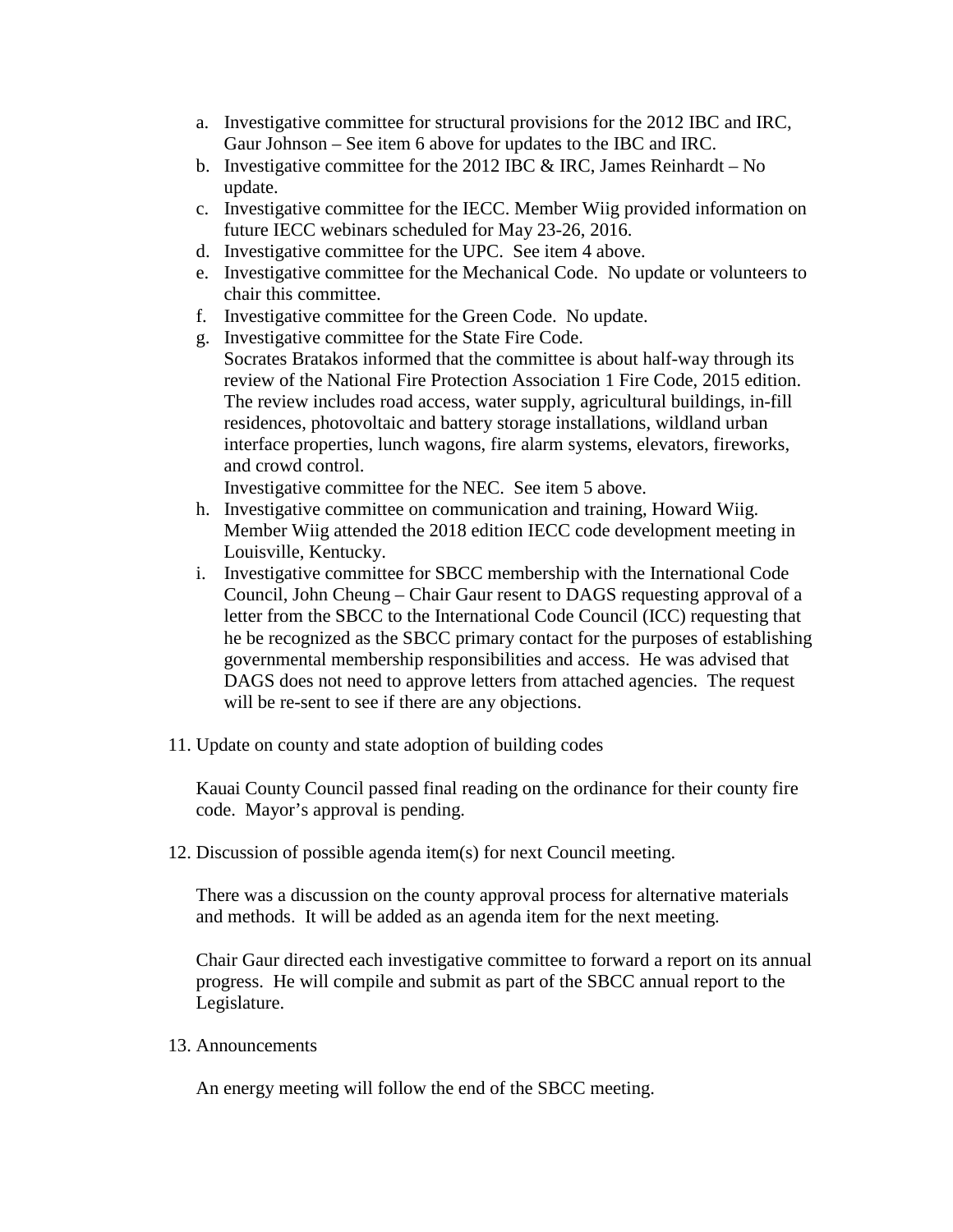- a. Investigative committee for structural provisions for the 2012 IBC and IRC, Gaur Johnson – See item 6 above for updates to the IBC and IRC.
- b. Investigative committee for the 2012 IBC  $&$  IRC, James Reinhardt No update.
- c. Investigative committee for the IECC. Member Wiig provided information on future IECC webinars scheduled for May 23-26, 2016.
- d. Investigative committee for the UPC. See item 4 above.
- e. Investigative committee for the Mechanical Code. No update or volunteers to chair this committee.
- f. Investigative committee for the Green Code. No update.
- g. Investigative committee for the State Fire Code.
	- Socrates Bratakos informed that the committee is about half-way through its review of the National Fire Protection Association 1 Fire Code, 2015 edition. The review includes road access, water supply, agricultural buildings, in-fill residences, photovoltaic and battery storage installations, wildland urban interface properties, lunch wagons, fire alarm systems, elevators, fireworks, and crowd control.

Investigative committee for the NEC. See item 5 above.

- h. Investigative committee on communication and training, Howard Wiig. Member Wiig attended the 2018 edition IECC code development meeting in Louisville, Kentucky.
- i. Investigative committee for SBCC membership with the International Code Council, John Cheung – Chair Gaur resent to DAGS requesting approval of a letter from the SBCC to the International Code Council (ICC) requesting that he be recognized as the SBCC primary contact for the purposes of establishing governmental membership responsibilities and access. He was advised that DAGS does not need to approve letters from attached agencies. The request will be re-sent to see if there are any objections.
- 11. Update on county and state adoption of building codes

Kauai County Council passed final reading on the ordinance for their county fire code. Mayor's approval is pending.

12. Discussion of possible agenda item(s) for next Council meeting.

There was a discussion on the county approval process for alternative materials and methods. It will be added as an agenda item for the next meeting.

Chair Gaur directed each investigative committee to forward a report on its annual progress. He will compile and submit as part of the SBCC annual report to the Legislature.

## 13. Announcements

An energy meeting will follow the end of the SBCC meeting.